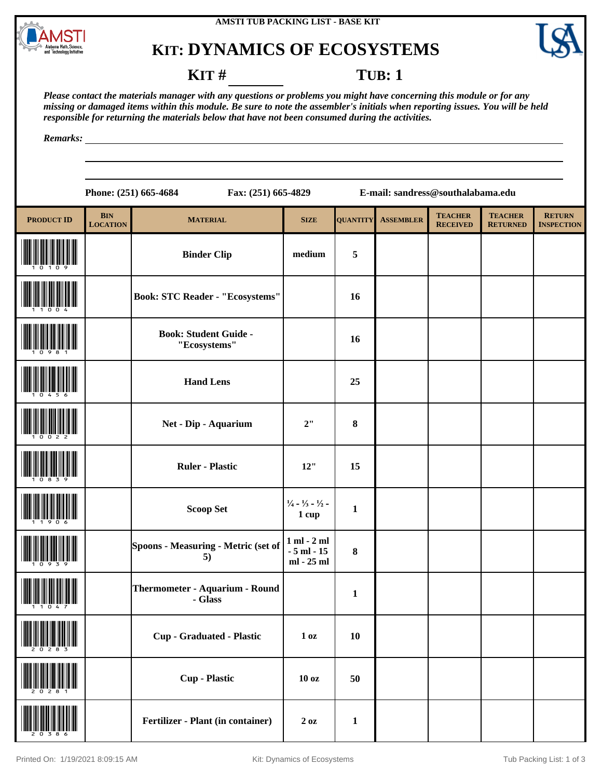

### **KIT: DYNAMICS OF ECOSYSTEMS**



#### **KIT** # **TUB**: 1

*Please contact the materials manager with any questions or problems you might have concerning this module or for any missing or damaged items within this module. Be sure to note the assembler's initials when reporting issues. You will be held responsible for returning the materials below that have not been consumed during the activities.*

*Remarks:*

**Phone: (251) 665-4684 Fax: (251) 665-4829 E-mail: sandress@southalabama.edu**

| <b>PRODUCT ID</b> | <b>BIN</b><br><b>LOCATION</b> | <b>MATERIAL</b>                              | <b>SIZE</b>                                              | <b>QUANTITY</b> | <b>ASSEMBLER</b> | <b>TEACHER</b><br><b>RECEIVED</b> | <b>TEACHER</b><br><b>RETURNED</b> | <b>RETURN</b><br><b>INSPECTION</b> |
|-------------------|-------------------------------|----------------------------------------------|----------------------------------------------------------|-----------------|------------------|-----------------------------------|-----------------------------------|------------------------------------|
|                   |                               | <b>Binder Clip</b>                           | medium                                                   | $\sqrt{5}$      |                  |                                   |                                   |                                    |
|                   |                               | <b>Book: STC Reader - "Ecosystems"</b>       |                                                          | 16              |                  |                                   |                                   |                                    |
|                   |                               | <b>Book: Student Guide -</b><br>"Ecosystems" |                                                          | 16              |                  |                                   |                                   |                                    |
|                   |                               | <b>Hand Lens</b>                             |                                                          | 25              |                  |                                   |                                   |                                    |
|                   |                               | Net - Dip - Aquarium                         | 2"                                                       | $\bf{8}$        |                  |                                   |                                   |                                    |
|                   |                               | <b>Ruler - Plastic</b>                       | 12"                                                      | 15              |                  |                                   |                                   |                                    |
|                   |                               | <b>Scoop Set</b>                             | $\frac{1}{4}$ - $\frac{1}{3}$ - $\frac{1}{2}$ -<br>1 cup | $\mathbf{1}$    |                  |                                   |                                   |                                    |
|                   |                               | Spoons - Measuring - Metric (set of<br>5)    | $1$ ml $ 2$ ml<br>$-5$ ml $-15$<br>ml - 25 ml            | 8               |                  |                                   |                                   |                                    |
|                   |                               | Thermometer - Aquarium - Round<br>- Glass    |                                                          | $\mathbf{1}$    |                  |                                   |                                   |                                    |
| 20283             |                               | <b>Cup - Graduated - Plastic</b>             | 1 <sub>oz</sub>                                          | <b>10</b>       |                  |                                   |                                   |                                    |
|                   |                               | <b>Cup</b> - Plastic                         | 10 <sub>oz</sub>                                         | 50              |                  |                                   |                                   |                                    |
|                   |                               | Fertilizer - Plant (in container)            | $2\ \text{oz}$                                           | $\mathbf{1}$    |                  |                                   |                                   |                                    |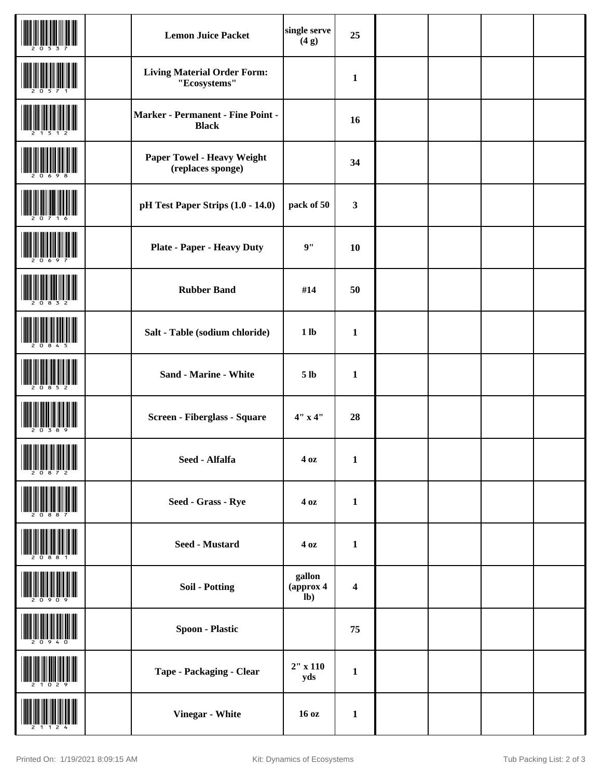|                                                                                                                                                                                                       | <b>Lemon Juice Packet</b>                                | single serve<br>(4g)        | 25                      |  |  |
|-------------------------------------------------------------------------------------------------------------------------------------------------------------------------------------------------------|----------------------------------------------------------|-----------------------------|-------------------------|--|--|
|                                                                                                                                                                                                       | <b>Living Material Order Form:</b><br>"Ecosystems"       |                             | $\mathbf{1}$            |  |  |
|                                                                                                                                                                                                       | <b>Marker - Permanent - Fine Point -</b><br><b>Black</b> |                             | 16                      |  |  |
|                                                                                                                                                                                                       | Paper Towel - Heavy Weight<br>(replaces sponge)          |                             | 34                      |  |  |
|                                                                                                                                                                                                       | pH Test Paper Strips (1.0 - 14.0)                        | pack of 50                  | 3                       |  |  |
|                                                                                                                                                                                                       | <b>Plate - Paper - Heavy Duty</b>                        | 9"                          | 10                      |  |  |
|                                                                                                                                                                                                       | <b>Rubber Band</b>                                       | #14                         | 50                      |  |  |
|                                                                                                                                                                                                       | Salt - Table (sodium chloride)                           | 1 <sub>lb</sub>             | $\mathbf{1}$            |  |  |
|                                                                                                                                                                                                       | Sand - Marine - White                                    | 5 <sub>lb</sub>             | $\mathbf{1}$            |  |  |
|                                                                                                                                                                                                       | Screen - Fiberglass - Square                             | 4" x 4"                     | 28                      |  |  |
| <b>THE REPORT OF PROPERTY</b><br>$\begin{array}{c} \begin{array}{c} \begin{array}{c} \end{array} \\ \begin{array}{c} \end{array} \\ \begin{array}{c} \end{array} \end{array} \end{array} \end{array}$ | Seed - Alfalfa                                           | 40z                         | $\mathbf 1$             |  |  |
|                                                                                                                                                                                                       | Seed - Grass - Rye                                       | 40z                         | $\mathbf{1}$            |  |  |
|                                                                                                                                                                                                       | Seed - Mustard                                           | 40z                         | $\mathbf{1}$            |  |  |
|                                                                                                                                                                                                       | <b>Soil - Potting</b>                                    | gallon<br>(approx 4<br>$lb$ | $\overline{\mathbf{4}}$ |  |  |
|                                                                                                                                                                                                       | <b>Spoon - Plastic</b>                                   |                             | 75                      |  |  |
|                                                                                                                                                                                                       | Tape - Packaging - Clear                                 | $2"$ x 110<br>yds           | $\mathbf{1}$            |  |  |
|                                                                                                                                                                                                       | Vinegar - White                                          | 16 oz                       | $\mathbf{1}$            |  |  |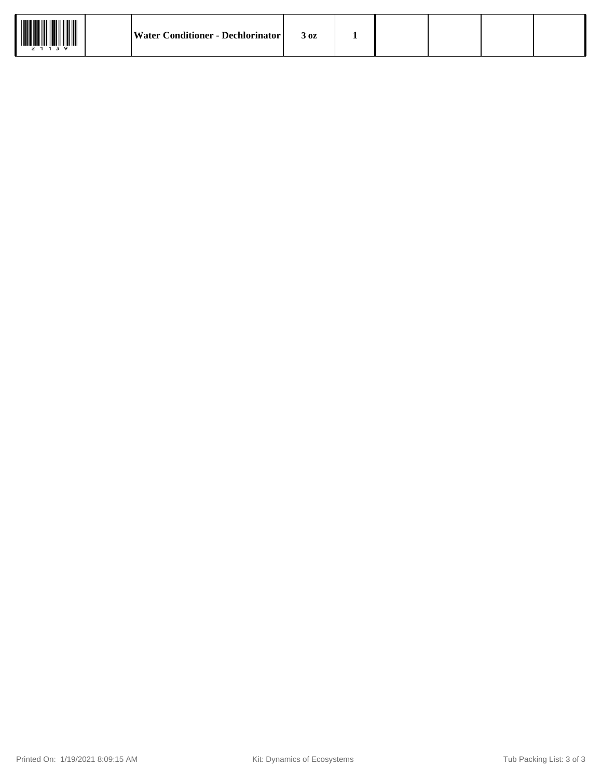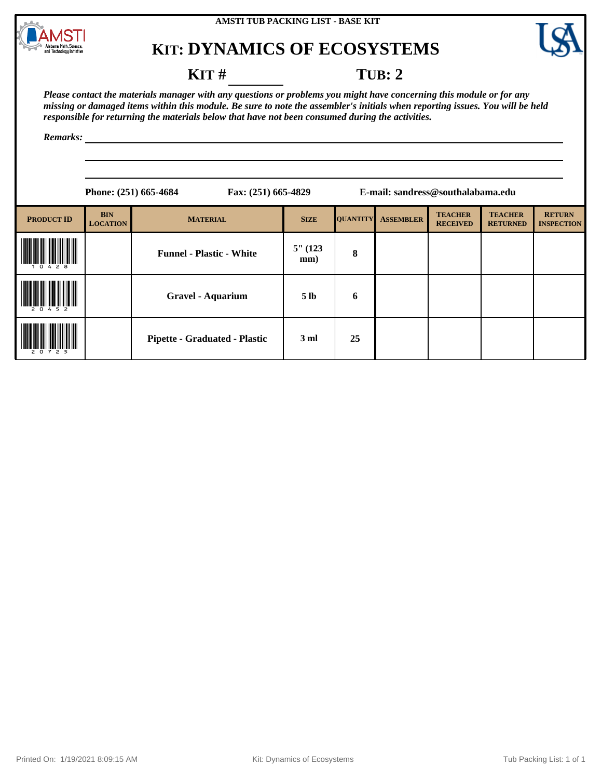

# **KIT: DYNAMICS OF ECOSYSTEMS**



#### **KIT** # **TUB: 2**

*Please contact the materials manager with any questions or problems you might have concerning this module or for any missing or damaged items within this module. Be sure to note the assembler's initials when reporting issues. You will be held responsible for returning the materials below that have not been consumed during the activities.*

*Remarks:*

|                   |                               | Phone: (251) 665-4684                | Fax: (251) 665-4829 |                 |                  | E-mail: sandress@southalabama.edu |                                   |                                    |  |
|-------------------|-------------------------------|--------------------------------------|---------------------|-----------------|------------------|-----------------------------------|-----------------------------------|------------------------------------|--|
| <b>PRODUCT ID</b> | <b>BIN</b><br><b>LOCATION</b> | <b>MATERIAL</b>                      | <b>SIZE</b>         | <b>QUANTITY</b> | <b>ASSEMBLER</b> | <b>TEACHER</b><br><b>RECEIVED</b> | <b>TEACHER</b><br><b>RETURNED</b> | <b>RETURN</b><br><b>INSPECTION</b> |  |
| 478               |                               | <b>Funnel - Plastic - White</b>      | $5''$ (123)<br>mm)  | 8               |                  |                                   |                                   |                                    |  |
| 20452             |                               | Gravel - Aquarium                    | 5 <sub>lb</sub>     | 6               |                  |                                   |                                   |                                    |  |
| 207<br>25         |                               | <b>Pipette - Graduated - Plastic</b> | 3 <sub>ml</sub>     | 25              |                  |                                   |                                   |                                    |  |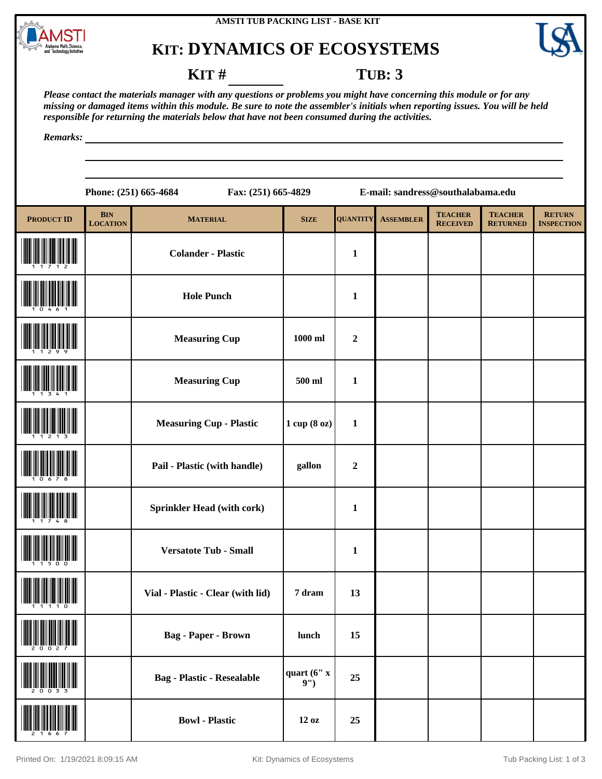

## **KIT: DYNAMICS OF ECOSYSTEMS**



#### **KIT** # **TUB: 3**

*Please contact the materials manager with any questions or problems you might have concerning this module or for any missing or damaged items within this module. Be sure to note the assembler's initials when reporting issues. You will be held responsible for returning the materials below that have not been consumed during the activities.*

*Remarks:*

|     |                               | Fax: (251) 665-4829<br>Phone: (251) 665-4684 |             |     |
|-----|-------------------------------|----------------------------------------------|-------------|-----|
| 'ID | <b>BIN</b><br><b>LOCATION</b> | <b>MATERIAL</b>                              | <b>SIZE</b> | OU. |
|     |                               | <b>Colander - Plastic</b>                    |             |     |
|     |                               | <b>Hole Punch</b>                            |             |     |

**Phone: (251) 665-4684 Fax: (251) 665-4829 E-mail: sandress@southalabama.edu**

| <b>PRODUCT ID</b> | <b>BIN</b><br><b>LOCATION</b> | <b>MATERIAL</b>                   | <b>SIZE</b>       | <b>QUANTITY</b>  | <b>ASSEMBLER</b> | <b>TEACHER</b><br><b>RECEIVED</b> | <b>TEACHER</b><br><b>RETURNED</b> | <b>RETURN</b><br><b>INSPECTION</b> |
|-------------------|-------------------------------|-----------------------------------|-------------------|------------------|------------------|-----------------------------------|-----------------------------------|------------------------------------|
|                   |                               | <b>Colander - Plastic</b>         |                   | $\mathbf{1}$     |                  |                                   |                                   |                                    |
|                   |                               | <b>Hole Punch</b>                 |                   | $\mathbf{1}$     |                  |                                   |                                   |                                    |
|                   |                               | <b>Measuring Cup</b>              | 1000 ml           | $\boldsymbol{2}$ |                  |                                   |                                   |                                    |
|                   |                               | <b>Measuring Cup</b>              | 500 ml            | $\mathbf{1}$     |                  |                                   |                                   |                                    |
|                   |                               | <b>Measuring Cup - Plastic</b>    | 1 cup (8 oz)      | $\mathbf{1}$     |                  |                                   |                                   |                                    |
|                   |                               | Pail - Plastic (with handle)      | gallon            | $\boldsymbol{2}$ |                  |                                   |                                   |                                    |
|                   |                               | <b>Sprinkler Head (with cork)</b> |                   | $\mathbf{1}$     |                  |                                   |                                   |                                    |
|                   |                               | <b>Versatote Tub - Small</b>      |                   | $\mathbf{1}$     |                  |                                   |                                   |                                    |
|                   |                               | Vial - Plastic - Clear (with lid) | 7 dram            | 13               |                  |                                   |                                   |                                    |
| 2 U U Z <i>I</i>  |                               | <b>Bag - Paper - Brown</b>        | lunch             | 15               |                  |                                   |                                   |                                    |
| 20033             |                               | <b>Bag</b> - Plastic - Resealable | quart (6" x<br>9' | 25               |                  |                                   |                                   |                                    |
|                   |                               | <b>Bowl</b> - Plastic             | 12 oz             | 25               |                  |                                   |                                   |                                    |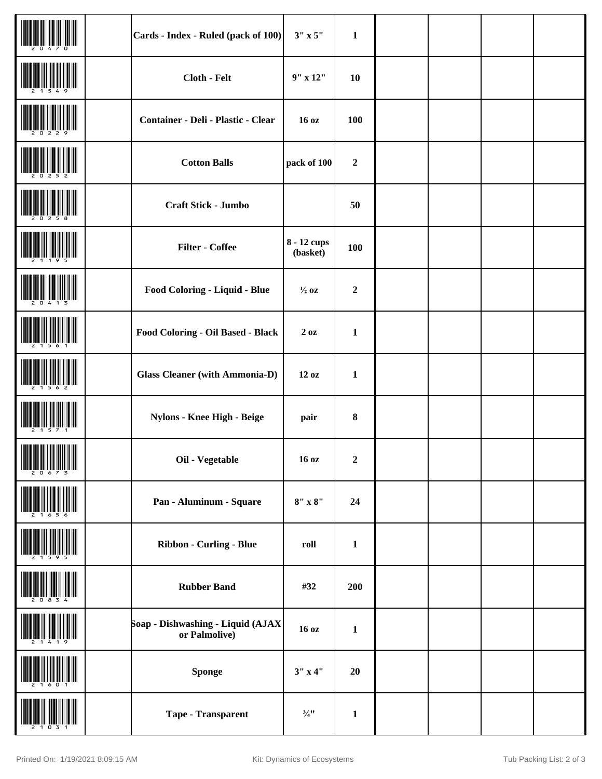|                                                                                                                                                                                                                                                                         | Cards - Index - Ruled (pack of 100)                | $3" \times 5"$          | $\mathbf{1}$     |  |  |
|-------------------------------------------------------------------------------------------------------------------------------------------------------------------------------------------------------------------------------------------------------------------------|----------------------------------------------------|-------------------------|------------------|--|--|
|                                                                                                                                                                                                                                                                         | Cloth - Felt                                       | $9''$ x $12''$          | 10               |  |  |
|                                                                                                                                                                                                                                                                         | Container - Deli - Plastic - Clear                 | 16 oz                   | 100              |  |  |
|                                                                                                                                                                                                                                                                         | <b>Cotton Balls</b>                                | pack of 100             | $\boldsymbol{2}$ |  |  |
|                                                                                                                                                                                                                                                                         | Craft Stick - Jumbo                                |                         | 50               |  |  |
|                                                                                                                                                                                                                                                                         | <b>Filter - Coffee</b>                             | 8 - 12 cups<br>(basket) | 100              |  |  |
|                                                                                                                                                                                                                                                                         | Food Coloring - Liquid - Blue                      | $\frac{1}{2}$ oz        | $\boldsymbol{2}$ |  |  |
|                                                                                                                                                                                                                                                                         | Food Coloring - Oil Based - Black                  | 2oz                     | $\mathbf{1}$     |  |  |
|                                                                                                                                                                                                                                                                         | <b>Glass Cleaner (with Ammonia-D)</b>              | 12 oz                   | $\mathbf{1}$     |  |  |
|                                                                                                                                                                                                                                                                         | Nylons - Knee High - Beige                         | pair                    | 8                |  |  |
| <b>THE REAL PROPERTY OF A STATE OF A STATE</b><br>$\left\  \left[ \left[ \left[ \left[ \left[ \left[ \left[ \mathbf{H} \right] \right] \right] \right] \left[ \left[ \left[ \left[ \left[ \mathbf{H} \right] \right] \right] \right] \right] \right] \right\  \right\ $ | Oil - Vegetable                                    | 16 oz                   | $\boldsymbol{2}$ |  |  |
|                                                                                                                                                                                                                                                                         | Pan - Aluminum - Square                            | $8" \times 8"$          | 24               |  |  |
|                                                                                                                                                                                                                                                                         | Ribbon - Curling - Blue                            | roll                    | $\mathbf{1}$     |  |  |
|                                                                                                                                                                                                                                                                         | <b>Rubber Band</b>                                 | #32                     | 200              |  |  |
|                                                                                                                                                                                                                                                                         | Soap - Dishwashing - Liquid (AJAX<br>or Palmolive) | 16 oz                   | $\mathbf{1}$     |  |  |
|                                                                                                                                                                                                                                                                         | <b>Sponge</b>                                      | $3''$ x 4"              | 20               |  |  |
|                                                                                                                                                                                                                                                                         | Tape - Transparent                                 | $\frac{3}{4}$ "         | $\mathbf{1}$     |  |  |